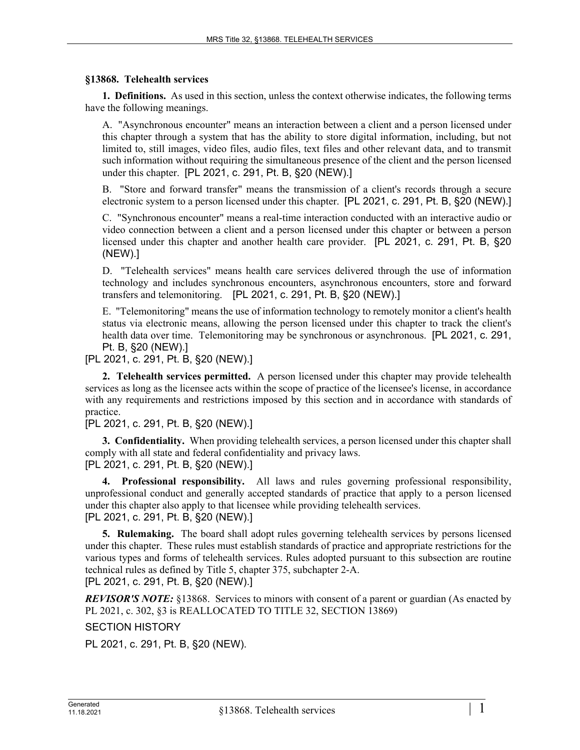## **§13868. Telehealth services**

**1. Definitions.** As used in this section, unless the context otherwise indicates, the following terms have the following meanings.

A. "Asynchronous encounter" means an interaction between a client and a person licensed under this chapter through a system that has the ability to store digital information, including, but not limited to, still images, video files, audio files, text files and other relevant data, and to transmit such information without requiring the simultaneous presence of the client and the person licensed under this chapter. [PL 2021, c. 291, Pt. B, §20 (NEW).]

B. "Store and forward transfer" means the transmission of a client's records through a secure electronic system to a person licensed under this chapter. [PL 2021, c. 291, Pt. B, §20 (NEW).]

C. "Synchronous encounter" means a real-time interaction conducted with an interactive audio or video connection between a client and a person licensed under this chapter or between a person licensed under this chapter and another health care provider. [PL 2021, c. 291, Pt. B, §20 (NEW).]

D. "Telehealth services" means health care services delivered through the use of information technology and includes synchronous encounters, asynchronous encounters, store and forward transfers and telemonitoring. [PL 2021, c. 291, Pt. B, §20 (NEW).]

E. "Telemonitoring" means the use of information technology to remotely monitor a client's health status via electronic means, allowing the person licensed under this chapter to track the client's health data over time. Telemonitoring may be synchronous or asynchronous. [PL 2021, c. 291, Pt. B, §20 (NEW).]

[PL 2021, c. 291, Pt. B, §20 (NEW).]

**2. Telehealth services permitted.** A person licensed under this chapter may provide telehealth services as long as the licensee acts within the scope of practice of the licensee's license, in accordance with any requirements and restrictions imposed by this section and in accordance with standards of practice.

[PL 2021, c. 291, Pt. B, §20 (NEW).]

**3. Confidentiality.** When providing telehealth services, a person licensed under this chapter shall comply with all state and federal confidentiality and privacy laws. [PL 2021, c. 291, Pt. B, §20 (NEW).]

**4. Professional responsibility.** All laws and rules governing professional responsibility, unprofessional conduct and generally accepted standards of practice that apply to a person licensed under this chapter also apply to that licensee while providing telehealth services.

[PL 2021, c. 291, Pt. B, §20 (NEW).]

**5. Rulemaking.** The board shall adopt rules governing telehealth services by persons licensed under this chapter. These rules must establish standards of practice and appropriate restrictions for the various types and forms of telehealth services. Rules adopted pursuant to this subsection are routine technical rules as defined by Title 5, chapter 375, subchapter 2-A. [PL 2021, c. 291, Pt. B, §20 (NEW).]

*REVISOR'S NOTE:* §13868. Services to minors with consent of a parent or guardian (As enacted by PL 2021, c. 302, §3 is REALLOCATED TO TITLE 32, SECTION 13869)

SECTION HISTORY

PL 2021, c. 291, Pt. B, §20 (NEW).